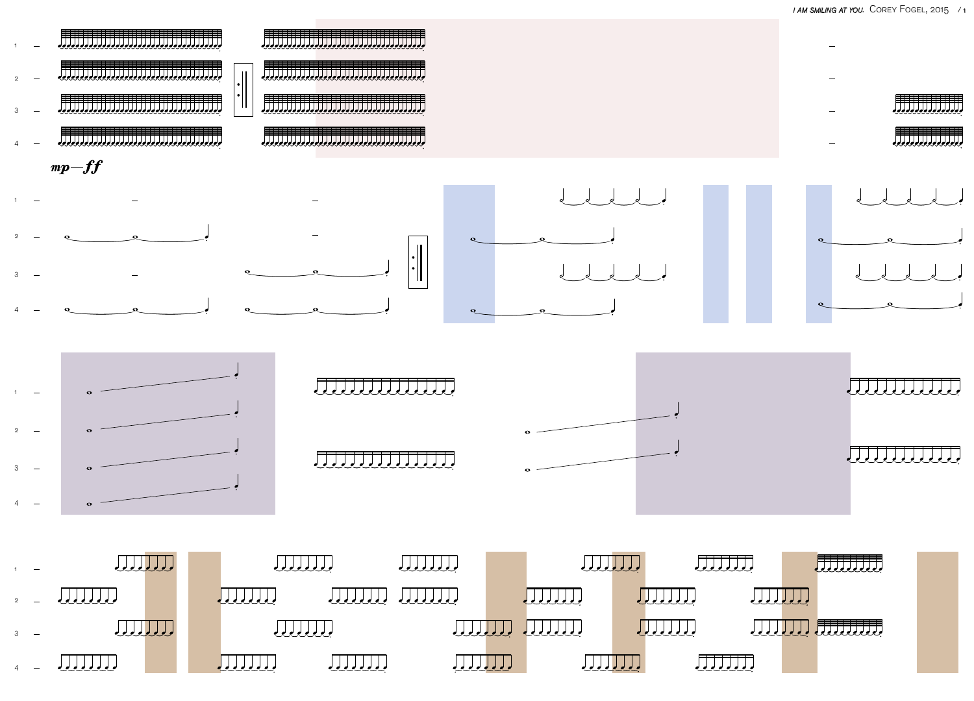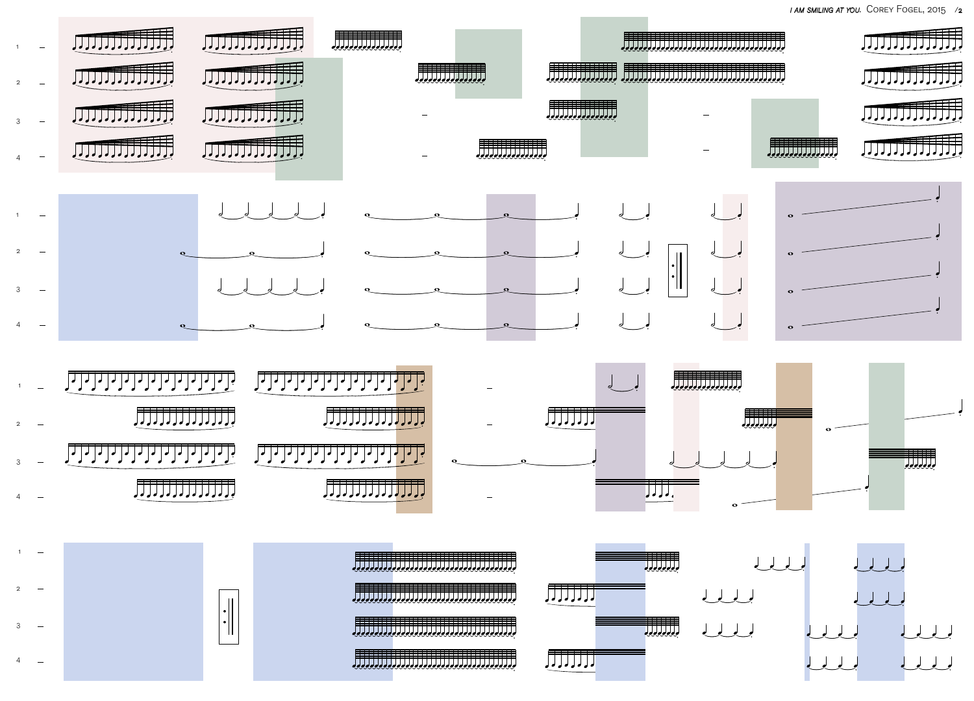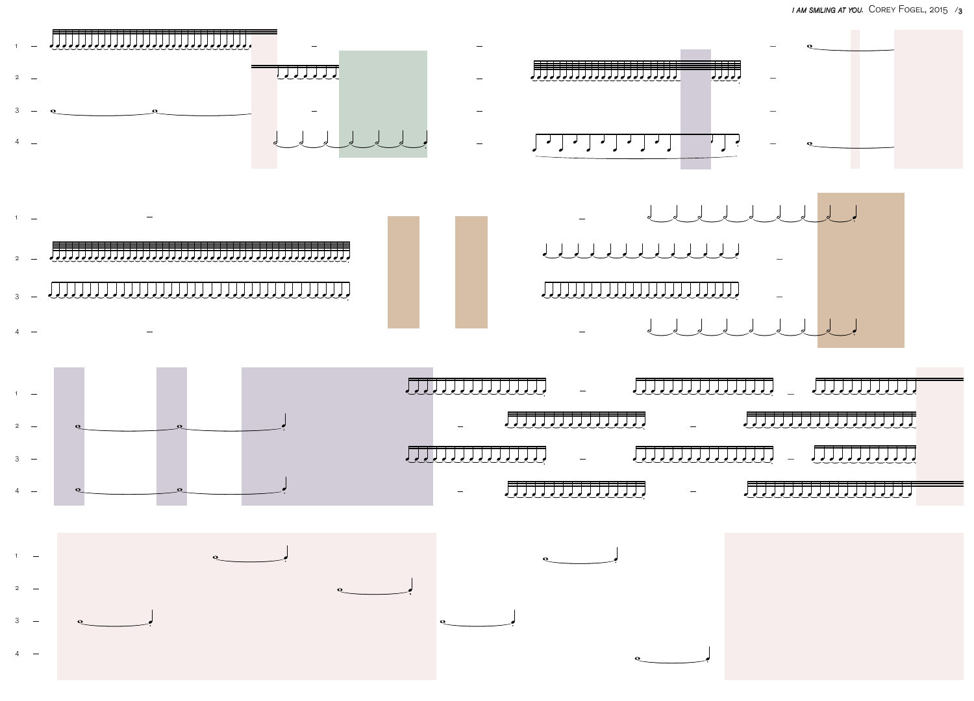